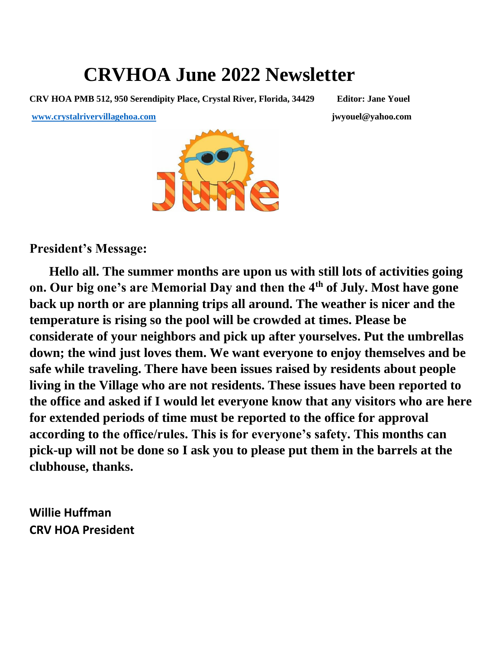# **CRVHOA June 2022 Newsletter**

**CRV HOA PMB 512, 950 Serendipity Place, Crystal River, Florida, 34429 Editor: Jane Youel**

**[www.crystalrivervillagehoa.com](about:blank) jwyouel@yahoo.com** 

**President's Message:**

 **Hello all. The summer months are upon us with still lots of activities going on. Our big one's are Memorial Day and then the 4th of July. Most have gone back up north or are planning trips all around. The weather is nicer and the temperature is rising so the pool will be crowded at times. Please be considerate of your neighbors and pick up after yourselves. Put the umbrellas down; the wind just loves them. We want everyone to enjoy themselves and be safe while traveling. There have been issues raised by residents about people living in the Village who are not residents. These issues have been reported to the office and asked if I would let everyone know that any visitors who are here for extended periods of time must be reported to the office for approval according to the office/rules. This is for everyone's safety. This months can pick-up will not be done so I ask you to please put them in the barrels at the clubhouse, thanks.** 

**Willie Huffman CRV HOA President**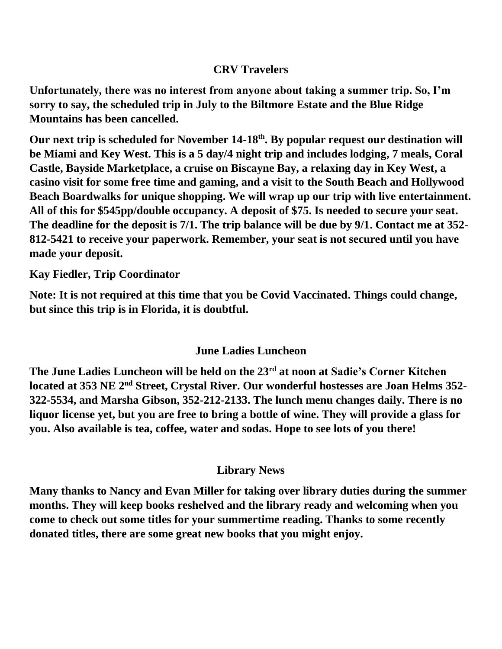### **CRV Travelers**

**Unfortunately, there was no interest from anyone about taking a summer trip. So, I'm sorry to say, the scheduled trip in July to the Biltmore Estate and the Blue Ridge Mountains has been cancelled.**

**Our next trip is scheduled for November 14-18th. By popular request our destination will be Miami and Key West. This is a 5 day/4 night trip and includes lodging, 7 meals, Coral Castle, Bayside Marketplace, a cruise on Biscayne Bay, a relaxing day in Key West, a casino visit for some free time and gaming, and a visit to the South Beach and Hollywood Beach Boardwalks for unique shopping. We will wrap up our trip with live entertainment. All of this for \$545pp/double occupancy. A deposit of \$75. Is needed to secure your seat. The deadline for the deposit is 7/1. The trip balance will be due by 9/1. Contact me at 352- 812-5421 to receive your paperwork. Remember, your seat is not secured until you have made your deposit.**

**Kay Fiedler, Trip Coordinator**

**Note: It is not required at this time that you be Covid Vaccinated. Things could change, but since this trip is in Florida, it is doubtful.**

# **June Ladies Luncheon**

**The June Ladies Luncheon will be held on the 23rd at noon at Sadie's Corner Kitchen located at 353 NE 2nd Street, Crystal River. Our wonderful hostesses are Joan Helms 352- 322-5534, and Marsha Gibson, 352-212-2133. The lunch menu changes daily. There is no liquor license yet, but you are free to bring a bottle of wine. They will provide a glass for you. Also available is tea, coffee, water and sodas. Hope to see lots of you there!**

# **Library News**

**Many thanks to Nancy and Evan Miller for taking over library duties during the summer months. They will keep books reshelved and the library ready and welcoming when you come to check out some titles for your summertime reading. Thanks to some recently donated titles, there are some great new books that you might enjoy.**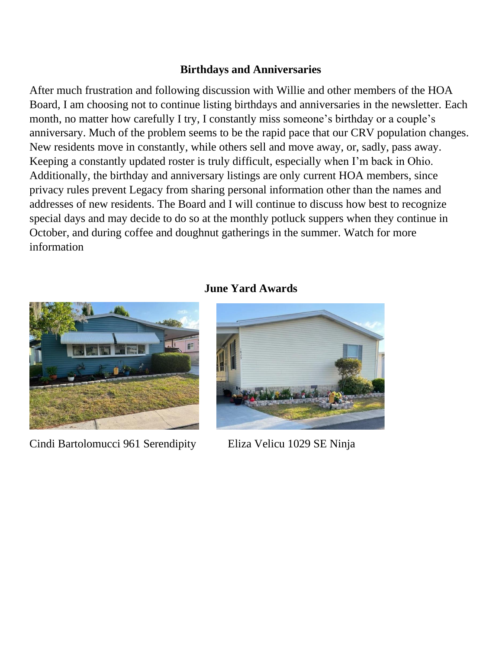#### **Birthdays and Anniversaries**

After much frustration and following discussion with Willie and other members of the HOA Board, I am choosing not to continue listing birthdays and anniversaries in the newsletter. Each month, no matter how carefully I try, I constantly miss someone's birthday or a couple's anniversary. Much of the problem seems to be the rapid pace that our CRV population changes. New residents move in constantly, while others sell and move away, or, sadly, pass away. Keeping a constantly updated roster is truly difficult, especially when I'm back in Ohio. Additionally, the birthday and anniversary listings are only current HOA members, since privacy rules prevent Legacy from sharing personal information other than the names and addresses of new residents. The Board and I will continue to discuss how best to recognize special days and may decide to do so at the monthly potluck suppers when they continue in October, and during coffee and doughnut gatherings in the summer. Watch for more information



Cindi Bartolomucci 961 Serendipity Eliza Velicu 1029 SE Ninja

#### **June Yard Awards**

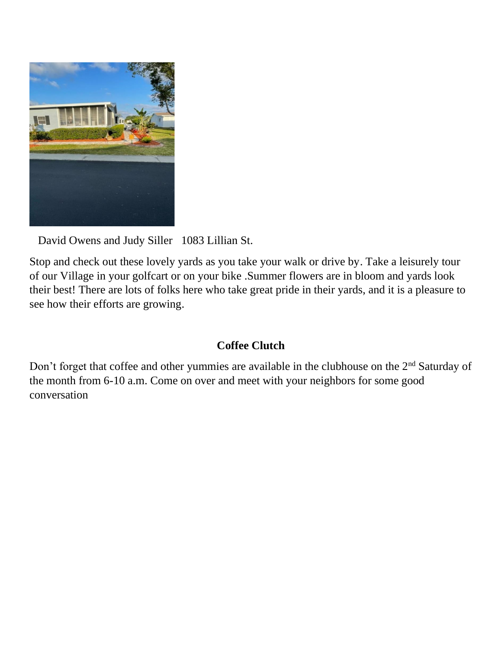

David Owens and Judy Siller 1083 Lillian St.

Stop and check out these lovely yards as you take your walk or drive by. Take a leisurely tour of our Village in your golfcart or on your bike .Summer flowers are in bloom and yards look their best! There are lots of folks here who take great pride in their yards, and it is a pleasure to see how their efforts are growing.

#### **Coffee Clutch**

Don't forget that coffee and other yummies are available in the clubhouse on the 2nd Saturday of the month from 6-10 a.m. Come on over and meet with your neighbors for some good conversation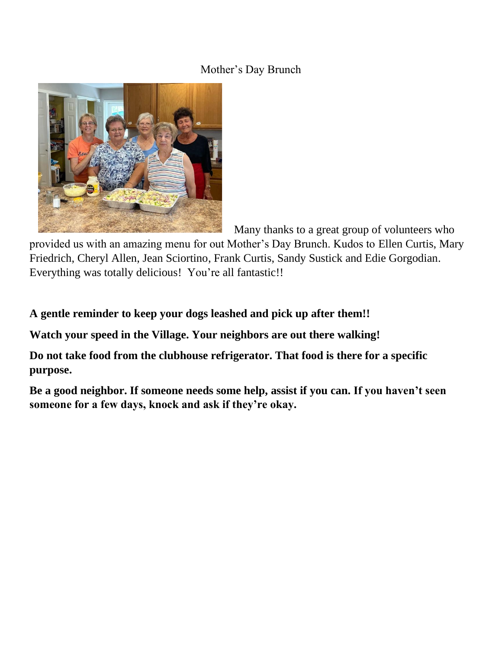### Mother's Day Brunch



Many thanks to a great group of volunteers who

provided us with an amazing menu for out Mother's Day Brunch. Kudos to Ellen Curtis, Mary Friedrich, Cheryl Allen, Jean Sciortino, Frank Curtis, Sandy Sustick and Edie Gorgodian. Everything was totally delicious! You're all fantastic!!

**A gentle reminder to keep your dogs leashed and pick up after them!!**

**Watch your speed in the Village. Your neighbors are out there walking!** 

**Do not take food from the clubhouse refrigerator. That food is there for a specific purpose.**

**Be a good neighbor. If someone needs some help, assist if you can. If you haven't seen someone for a few days, knock and ask if they're okay.**